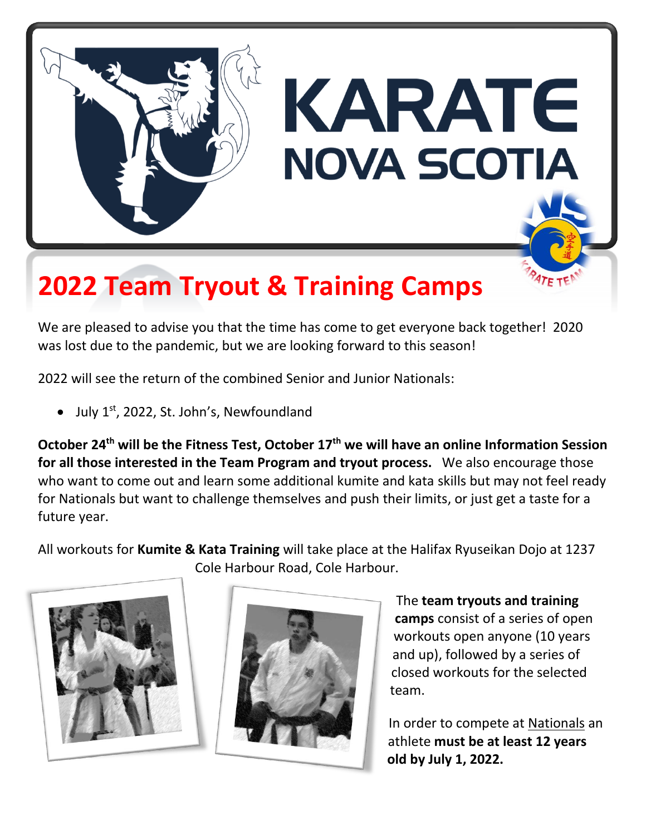

## **2022 Team Tryout & Training Camps**

We are pleased to advise you that the time has come to get everyone back together! 2020 was lost due to the pandemic, but we are looking forward to this season!

2022 will see the return of the combined Senior and Junior Nationals:

• July  $1^{st}$ , 2022, St. John's, Newfoundland

**October 24 th will be the Fitness Test, October 17th we will have an online Information Session for all those interested in the Team Program and tryout process.** We also encourage those who want to come out and learn some additional kumite and kata skills but may not feel ready for Nationals but want to challenge themselves and push their limits, or just get a taste for a future year.

All workouts for **Kumite & Kata Training** will take place at the Halifax Ryuseikan Dojo at 1237 Cole Harbour Road, Cole Harbour.





The **team tryouts and training camps** consist of a series of open workouts open anyone (10 years and up), followed by a series of closed workouts for the selected team.

In order to compete at Nationals an athlete **must be at least 12 years old by July 1, 2022.**